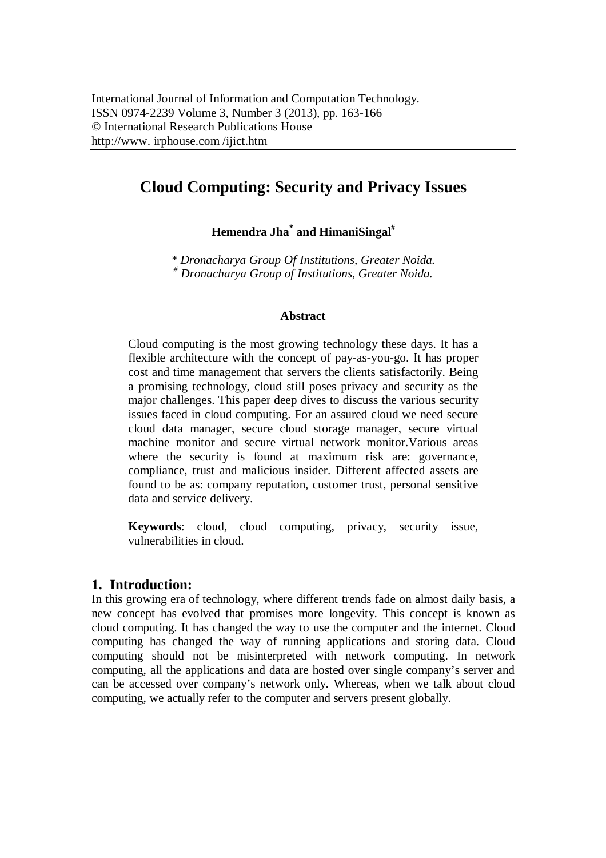# **Cloud Computing: Security and Privacy Issues**

**Hemendra Jha\* and HimaniSingal#**

*\* Dronacharya Group Of Institutions, Greater Noida. # Dronacharya Group of Institutions, Greater Noida.*

#### **Abstract**

Cloud computing is the most growing technology these days. It has a flexible architecture with the concept of pay-as-you-go. It has proper cost and time management that servers the clients satisfactorily. Being a promising technology, cloud still poses privacy and security as the major challenges. This paper deep dives to discuss the various security issues faced in cloud computing. For an assured cloud we need secure cloud data manager, secure cloud storage manager, secure virtual machine monitor and secure virtual network monitor.Various areas where the security is found at maximum risk are: governance, compliance, trust and malicious insider. Different affected assets are found to be as: company reputation, customer trust, personal sensitive data and service delivery.

**Keywords**: cloud, cloud computing, privacy, security issue, vulnerabilities in cloud.

## **1. Introduction:**

In this growing era of technology, where different trends fade on almost daily basis, a new concept has evolved that promises more longevity. This concept is known as cloud computing. It has changed the way to use the computer and the internet. Cloud computing has changed the way of running applications and storing data. Cloud computing should not be misinterpreted with network computing. In network computing, all the applications and data are hosted over single company's server and can be accessed over company's network only. Whereas, when we talk about cloud computing, we actually refer to the computer and servers present globally.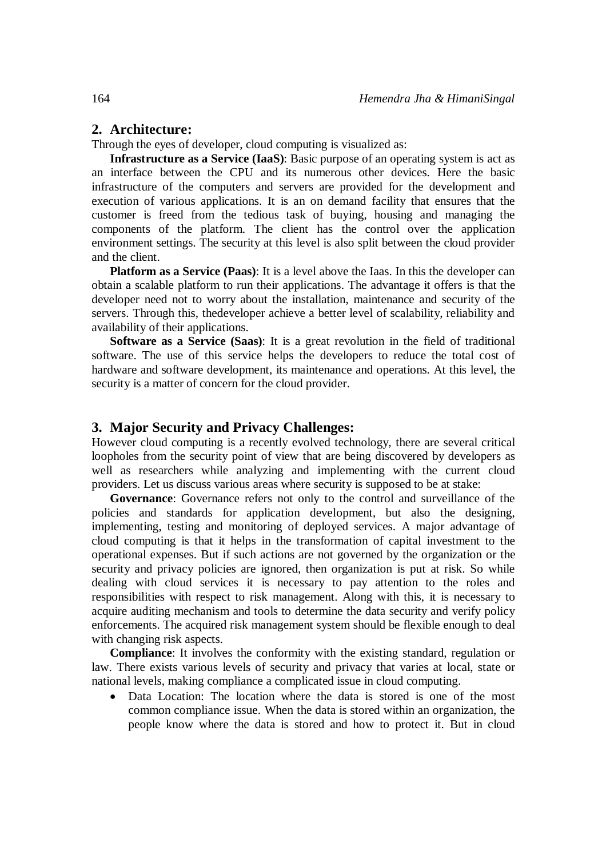## **2. Architecture:**

Through the eyes of developer, cloud computing is visualized as:

**Infrastructure as a Service (IaaS)**: Basic purpose of an operating system is act as an interface between the CPU and its numerous other devices. Here the basic infrastructure of the computers and servers are provided for the development and execution of various applications. It is an on demand facility that ensures that the customer is freed from the tedious task of buying, housing and managing the components of the platform. The client has the control over the application environment settings. The security at this level is also split between the cloud provider and the client.

**Platform as a Service (Paas)**: It is a level above the Iaas. In this the developer can obtain a scalable platform to run their applications. The advantage it offers is that the developer need not to worry about the installation, maintenance and security of the servers. Through this, thedeveloper achieve a better level of scalability, reliability and availability of their applications.

**Software as a Service (Saas)**: It is a great revolution in the field of traditional software. The use of this service helps the developers to reduce the total cost of hardware and software development, its maintenance and operations. At this level, the security is a matter of concern for the cloud provider.

#### **3. Major Security and Privacy Challenges:**

However cloud computing is a recently evolved technology, there are several critical loopholes from the security point of view that are being discovered by developers as well as researchers while analyzing and implementing with the current cloud providers. Let us discuss various areas where security is supposed to be at stake:

**Governance**: Governance refers not only to the control and surveillance of the policies and standards for application development, but also the designing, implementing, testing and monitoring of deployed services. A major advantage of cloud computing is that it helps in the transformation of capital investment to the operational expenses. But if such actions are not governed by the organization or the security and privacy policies are ignored, then organization is put at risk. So while dealing with cloud services it is necessary to pay attention to the roles and responsibilities with respect to risk management. Along with this, it is necessary to acquire auditing mechanism and tools to determine the data security and verify policy enforcements. The acquired risk management system should be flexible enough to deal with changing risk aspects.

**Compliance**: It involves the conformity with the existing standard, regulation or law. There exists various levels of security and privacy that varies at local, state or national levels, making compliance a complicated issue in cloud computing.

 Data Location: The location where the data is stored is one of the most common compliance issue. When the data is stored within an organization, the people know where the data is stored and how to protect it. But in cloud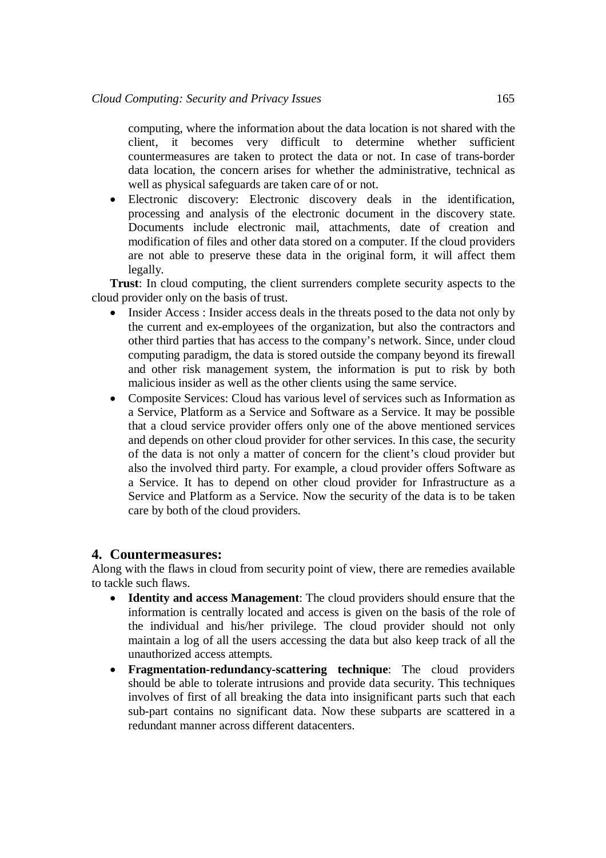computing, where the information about the data location is not shared with the client, it becomes very difficult to determine whether sufficient countermeasures are taken to protect the data or not. In case of trans-border data location, the concern arises for whether the administrative, technical as well as physical safeguards are taken care of or not.

 Electronic discovery: Electronic discovery deals in the identification, processing and analysis of the electronic document in the discovery state. Documents include electronic mail, attachments, date of creation and modification of files and other data stored on a computer. If the cloud providers are not able to preserve these data in the original form, it will affect them legally.

**Trust**: In cloud computing, the client surrenders complete security aspects to the cloud provider only on the basis of trust.

- Insider Access : Insider access deals in the threats posed to the data not only by the current and ex-employees of the organization, but also the contractors and other third parties that has access to the company's network. Since, under cloud computing paradigm, the data is stored outside the company beyond its firewall and other risk management system, the information is put to risk by both malicious insider as well as the other clients using the same service.
- Composite Services: Cloud has various level of services such as Information as a Service, Platform as a Service and Software as a Service. It may be possible that a cloud service provider offers only one of the above mentioned services and depends on other cloud provider for other services. In this case, the security of the data is not only a matter of concern for the client's cloud provider but also the involved third party. For example, a cloud provider offers Software as a Service. It has to depend on other cloud provider for Infrastructure as a Service and Platform as a Service. Now the security of the data is to be taken care by both of the cloud providers.

## **4. Countermeasures:**

Along with the flaws in cloud from security point of view, there are remedies available to tackle such flaws.

- **Identity and access Management**: The cloud providers should ensure that the information is centrally located and access is given on the basis of the role of the individual and his/her privilege. The cloud provider should not only maintain a log of all the users accessing the data but also keep track of all the unauthorized access attempts.
- **Fragmentation-redundancy-scattering technique**: The cloud providers should be able to tolerate intrusions and provide data security. This techniques involves of first of all breaking the data into insignificant parts such that each sub-part contains no significant data. Now these subparts are scattered in a redundant manner across different datacenters.